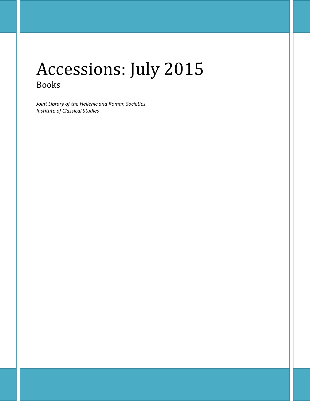# Accessions: July 2015 Books

*Joint Library of the Hellenic and Roman Societies Institute of Classical Studies*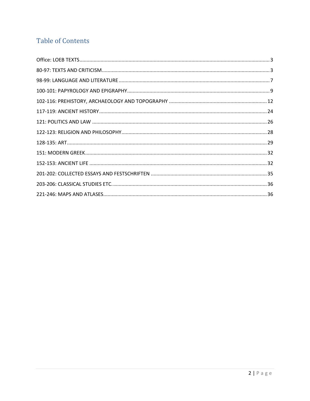## **Table of Contents**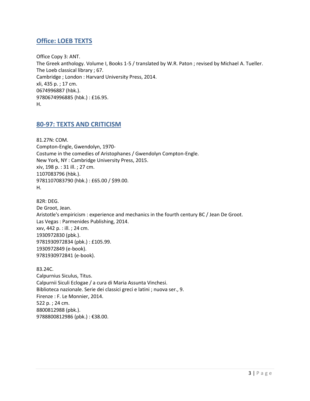## <span id="page-2-0"></span>**Office: LOEB TEXTS**

Office Copy 3: ANT. The Greek anthology. Volume I, Books 1-5 / translated by W.R. Paton ; revised by Michael A. Tueller. The Loeb classical library ; 67. Cambridge ; London : Harvard University Press, 2014. xli, 435 p. ; 17 cm. 0674996887 (hbk.). 9780674996885 (hbk.) : £16.95. H.

## <span id="page-2-1"></span>**80-97: TEXTS AND CRITICISM**

81.27N: COM. Compton-Engle, Gwendolyn, 1970- Costume in the comedies of Aristophanes / Gwendolyn Compton-Engle. New York, NY : Cambridge University Press, 2015. xiv, 198 p. : 31 ill. ; 27 cm. 1107083796 (hbk.). 9781107083790 (hbk.) : £65.00 / \$99.00. H.

82R: DEG. De Groot, Jean. Aristotle's empiricism : experience and mechanics in the fourth century BC / Jean De Groot. Las Vegas : Parmenides Publishing, 2014. xxv, 442 p. : ill. ; 24 cm. 1930972830 (pbk.). 9781930972834 (pbk.) : £105.99. 1930972849 (e-book). 9781930972841 (e-book).

83.24C. Calpurnius Siculus, Titus. Calpurnii Siculi Eclogae / a cura di Maria Assunta Vinchesi. Biblioteca nazionale. Serie dei classici greci e latini ; nuova ser., 9. Firenze : F. Le Monnier, 2014. 522 p. ; 24 cm. 8800812988 (pbk.). 9788800812986 (pbk.) : €38.00.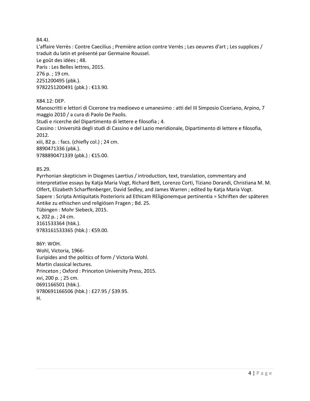84.4J.

L'affaire Verrès : Contre Caecilius ; Première action contre Verrès ; Les oeuvres d'art ; Les supplices / traduit du latin et présenté par Germaine Roussel.

Le goût des idées ; 48.

Paris : Les Belles lettres, 2015. 276 p. ; 19 cm. 2251200495 (pbk.). 9782251200491 (pbk.) : €13.90.

X84.12: DEP.

Manoscritti e lettori di Cicerone tra medioevo e umanesimo : atti del III Simposio Ciceriano, Arpino, 7 maggio 2010 / a cura di Paolo De Paolis.

Studi e ricerche del Dipartimento di lettere e filosofia ; 4.

Cassino : Università degli studi di Cassino e del Lazio meridionale, Dipartimento di lettere e filosofia, 2012.

xiii, 82 p. : facs. (chiefly col.) ; 24 cm. 8890471336 (pbk.). 9788890471339 (pbk.) : €15.00.

85.29.

Pyrrhonian skepticism in Diogenes Laertius / introduction, text, translation, commentary and interpretative essays by Katja Maria Vogt, Richard Bett, Lorenzo Corti, Tiziano Dorandi, Christiana M. M. Olfert, Elizabeth Scharffenberger, David Sedley, and James Warren ; edited by Katja Maria Vogt. Sapere : Scripta Antiquitatis Posterioris ad Ethicam REligionemque pertinentia = Schriften der späteren Antike zu ethischen und religiösen Fragen ; Bd. 25.

Tübingen : Mohr Siebeck, 2015. x, 202 p. ; 24 cm. 3161533364 (hbk.). 9783161533365 (hbk.) : €59.00.

86Y: WOH. Wohl, Victoria, 1966- Euripides and the politics of form / Victoria Wohl. Martin classical lectures. Princeton ; Oxford : Princeton University Press, 2015. xvi, 200 p. ; 25 cm. 0691166501 (hbk.). 9780691166506 (hbk.) : £27.95 / \$39.95. H.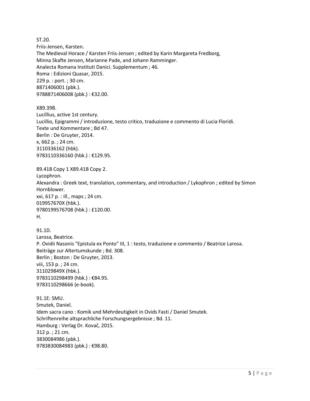ST.20. Friis-Jensen, Karsten. The Medieval Horace / Karsten Friis-Jensen ; edited by Karin Margareta Fredborg, Minna Skafte Jensen, Marianne Pade, and Johann Ramminger. Analecta Romana Instituti Danici. Supplementum ; 46. Roma : Edizioni Quasar, 2015. 229 p. : port. ; 30 cm. 8871406001 (pbk.). 9788871406008 (pbk.) : €32.00.

X89.39B. Lucillius, active 1st century. Lucillio, Epigrammi / introduzione, testo critico, traduzione e commento di Lucia Floridi. Texte und Kommentare ; Bd 47. Berlin : De Gruyter, 2014. x, 662 p. ; 24 cm. 3110336162 (hbk). 9783110336160 (hbk.) : €129.95.

89.41B Copy 1 X89.41B Copy 2. Lycophron. Alexandra : Greek text, translation, commentary, and introduction / Lykophron ; edited by Simon Hornblower. xxi, 617 p. : ill., maps ; 24 cm. 019957670X (hbk.). 9780199576708 (hbk.) : £120.00. H.

91.1D. Larosa, Beatrice. P. Ovidii Nasonis "Epistula ex Ponto" III, 1 : testo, traduzione e commento / Beatrice Larosa. Beiträge zur Altertumskunde ; Bd. 308. Berlin ; Boston : De Gruyter, 2013. viii, 153 p. ; 24 cm. 311029849X (hbk.). 9783110298499 (hbk.) : €84.95. 9783110298666 (e-book).

91.1E: SMU. Smutek, Daniel. Idem sacra cano : Komik und Mehrdeutigkeit in Ovids Fasti / Daniel Smutek. Schriftenreihe altsprachliche Forschungsergebnisse ; Bd. 11. Hamburg : Verlag Dr. Kovač, 2015. 312 p. ; 21 cm. 3830084986 (pbk.). 9783830084983 (pbk.) : €98.80.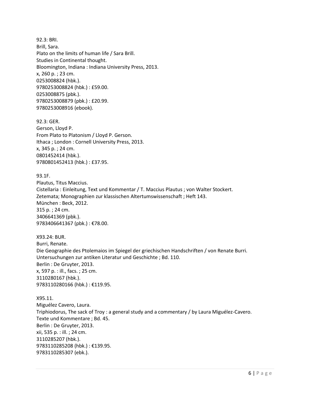92.3: BRI. Brill, Sara. Plato on the limits of human life / Sara Brill. Studies in Continental thought. Bloomington, Indiana : Indiana University Press, 2013. x, 260 p. ; 23 cm. 0253008824 (hbk.). 9780253008824 (hbk.) : £59.00. 0253008875 (pbk.). 9780253008879 (pbk.) : £20.99. 9780253008916 (ebook).

92.3: GER. Gerson, Lloyd P. From Plato to Platonism / Lloyd P. Gerson. Ithaca ; London : Cornell University Press, 2013. x, 345 p. ; 24 cm. 0801452414 (hbk.). 9780801452413 (hbk.) : £37.95.

93.1F. Plautus, Titus Maccius. Cistellaria : Einleitung, Text und Kommentar / T. Maccius Plautus ; von Walter Stockert. Zetemata; Monographien zur klassischen Altertumswissenschaft ; Heft 143. München : Beck, 2012. 315 p. ; 24 cm. 3406641369 (pbk.). 9783406641367 (pbk.) : €78.00.

X93.24: BUR. Burri, Renate. Die Geographie des Ptolemaios im Spiegel der griechischen Handschriften / von Renate Burri. Untersuchungen zur antiken Literatur und Geschichte ; Bd. 110. Berlin : De Gruyter, 2013. x, 597 p. : ill., facs. ; 25 cm. 3110280167 (hbk.). 9783110280166 (hbk.) : €119.95.

X95.11. Miguélez Cavero, Laura. Triphiodorus, The sack of Troy : a general study and a commentary / by Laura Miguélez-Cavero. Texte und Kommentare ; Bd. 45. Berlin : De Gruyter, 2013. xii, 535 p. : ill. ; 24 cm. 3110285207 (hbk.). 9783110285208 (hbk.) : €139.95. 9783110285307 (ebk.).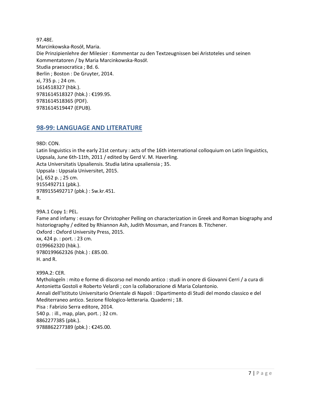97.48E. Marcinkowska-Rosół, Maria. Die Prinzipienlehre der Milesier : Kommentar zu den Textzeugnissen bei Aristoteles und seinen Kommentatoren / by Maria Marcinkowska-Rosół. Studia praesocratica ; Bd. 6. Berlin ; Boston : De Gruyter, 2014. xi, 735 p. ; 24 cm. 1614518327 (hbk.). 9781614518327 (hbk.) : €199.95. 9781614518365 (PDF). 9781614519447 (EPUB).

### <span id="page-6-0"></span>**98-99: LANGUAGE AND LITERATURE**

98D: CON.

Latin linguistics in the early 21st century : acts of the 16th international colloquium on Latin linguistics, Uppsala, June 6th-11th, 2011 / edited by Gerd V. M. Haverling. Acta Universitatis Upsaliensis. Studia latina upsaliensia ; 35. Uppsala : Uppsala Universitet, 2015. [x], 652 p. ; 25 cm. 9155492711 (pbk.). 9789155492717 (pbk.) : Sw.kr.451. R.

99A.1 Copy 1: PEL. Fame and infamy : essays for Christopher Pelling on characterization in Greek and Roman biography and historiography / edited by Rhiannon Ash, Judith Mossman, and Frances B. Titchener. Oxford : Oxford University Press, 2015. xx, 424 p. : port. : 23 cm. 0199662320 (hbk.). 9780199662326 (hbk.) : £85.00. H. and R.

X99A.2: CER.

Mythologeîn : mito e forme di discorso nel mondo antico : studi in onore di Giovanni Cerri / a cura di Antonietta Gostoli e Roberto Velardi ; con la collaborazione di Maria Colantonio. Annali dell'Istituto Universitario Orientale di Napoli : Dipartimento di Studi del mondo classico e del Mediterraneo antico. Sezione filologico-letteraria. Quaderni ; 18. Pisa : Fabrizio Serra editore, 2014. 540 p. : ill., map, plan, port. ; 32 cm. 8862277385 (pbk.). 9788862277389 (pbk.) : €245.00.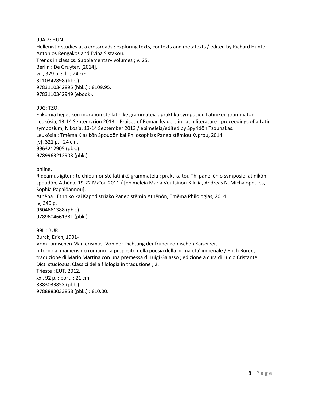99A.2: HUN.

Hellenistic studies at a crossroads : exploring texts, contexts and metatexts / edited by Richard Hunter, Antonios Rengakos and Evina Sistakou.

Trends in classics. Supplementary volumes ; v. 25. Berlin : De Gruyter, [2014]. viii, 379 p. : ill. ; 24 cm. 3110342898 (hbk.). 9783110342895 (hbk.) : €109.95. 9783110342949 (ebook).

99G: TZO.

Enkōmia hēgetikōn morphōn stē latinikē grammateia : praktika symposiou Latinikōn grammatōn, Leokōsia, 13-14 Septemvriou 2013 = Praises of Roman leaders in Latin literature : proceedings of a Latin symposium, Nikosia, 13-14 September 2013 / epimeleia/edited by Spyridōn Tzounakas. Leukōsia : Tmēma Klasikōn Spoudōn kai Philosophias Panepistēmiou Kyprou, 2014. [v], 321 p. ; 24 cm. 9963212905 (pbk.). 9789963212903 (pbk.).

online.

Rideamus igitur : to chioumor stē latinikē grammateia : praktika tou Th' panellēnio symposio latinikōn spoudōn, Athēna, 19-22 Maïou 2011 / [epimeleia Maria Voutsinou-Kikilia, Andreas N. Michalopoulos, Sophia Papaïōannou]. Athēna : Ethniko kai Kapodistriako Panepistēmio Athēnōn, Tmēma Philologias, 2014. iv, 340 p.

9604661388 (pbk.). 9789604661381 (pbk.).

99H: BUR. Burck, Erich, 1901- Vom römischen Manierismus. Von der Dichtung der früher römischen Kaiserzeit. Intorno al manierismo romano : a proposito della poesia della prima eta' imperiale / Erich Burck ; traduzione di Mario Martina con una premessa di Luigi Galasso ; edizione a cura di Lucio Cristante. Dicti studiosus. Classici della filologia in traduzione ; 2. Trieste : EUT, 2012. xxi, 92 p. : port. ; 21 cm. 888303385X (pbk.). 9788883033858 (pbk.) : €10.00.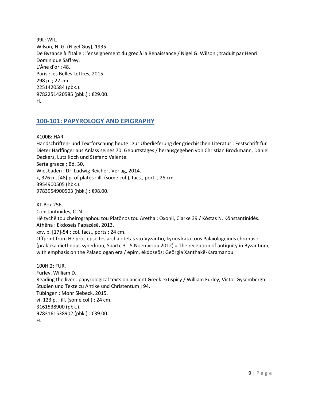99L: WIL. Wilson, N. G. (Nigel Guy), 1935- De Byzance à l'Italie : l'enseignement du grec à la Renaissance / Nigel G. Wilson ; traduit par Henri Dominique Saffrey. L'Âne d'or ; 48. Paris : les Belles Lettres, 2015. 298 p. ; 22 cm. 2251420584 (pbk.). 9782251420585 (pbk.) : €29.00. H.

## <span id="page-8-0"></span>**100-101: PAPYROLOGY AND EPIGRAPHY**

X100B: HAR.

Handschriften- und Textforschung heute : zur Überlieferung der griechischen Literatur : Festschrift für Dieter Harlfinger aus Anlass seines 70. Geburtstages / herausgegeben von Christian Brockmann, Daniel Deckers, Lutz Koch und Stefano Valente.

Serta graeca ; Bd. 30.

Wiesbaden : Dr. Ludwig Reichert Verlag, 2014.

x, 326 p., [48] p. of plates : ill. (some col.), facs., port. ; 25 cm. 3954900505 (hbk.). 9783954900503 (hbk.) : €98.00.

XT.Box 256.

Constantinides, C. N.

Hē tychē tou cheirographou tou Platōnos tou Aretha : Oxonii, Clarke 39 / Kōstas N. Kōnstantinidēs. Athēna : Ekdoseis Papazēsē, 2013.

xxv, p. [17]-54 : col. facs., ports ; 24 cm.

Offprint from Hē proslēpsē tēs archaiotētas sto Vyzantio, kyriōs kata tous Palaiologeious chronus : (praktika diethnous synedriou, Spartē 3 - 5 Noemvriou 2012) = The reception of antiquity in Byzantium, with emphasis on the Palaeologan era / epim. ekdoseōs: Geōrgia Xanthakē-Karamanou.

100H.2: FUR. Furley, William D. Reading the liver : papyrological texts on ancient Greek extispicy / William Furley, Victor Gysembergh. Studien und Texte zu Antike und Christentum ; 94. Tübingen : Mohr Siebeck, 2015. vi, 123 p. : ill. (some col.) ; 24 cm. 3161538900 (pbk.). 9783161538902 (pbk.) : €39.00. H.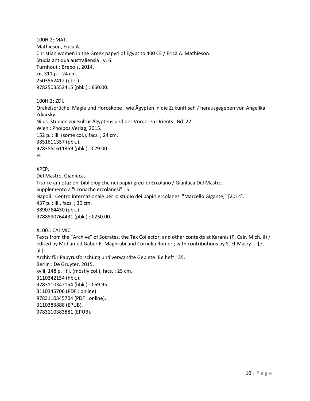100H.2: MAT. Mathieson, Erica A. Christian women in the Greek papyri of Egypt to 400 CE / Erica A. Mathieson. Studia antiqua australiensia ; v. 6. Turnhout : Brepols, 2014. xii, 311 p. ; 24 cm. 2503552412 (pbk.). 9782503552415 (pbk.) : €60.00.

100H.2: ZDI.

Orakelsprüche, Magie und Horoskope : wie Ägypten in die Zukunft sah / herausgegeben von Angelika Zdiarsky. Nilus. Studien zur Kultur Ägyptens und des Vorderen Orients ; Bd. 22.

Wien : Phoibos Verlag, 2015.

152 p. : ill. (some col.), facs. ; 24 cm. 3851611357 (pbk.).

9783851611359 (pbk.) : €29.00.

H.

XPEP.

Del Mastro, Gianluca. Titoli e annotazioni bibliologiche nei papiri greci di Ercolano / Gianluca Del Mastro. Supplemento a "Cronache ercolanesi" ; 5. Napoli : Centro internazionale per lo studio dei papiri ercolanesi "Marcello Gigante," [2014]. 437 p. : ill., facs. ; 30 cm. 8890764430 (pbk.). 9788890764431 (pbk.): €250.00.

X100J: CAI MIC.

Texts from the "Archive" of Socrates, the Tax Collector, and other contexts at Karanis (P. Cair. Mich. II) / edited by Mohamed Gaber El-Maghrabi and Cornelia Römer ; with contributions by S. El-Masry ... [et al.]. Archiv für Papyrusforschung und verwandte Gebiete. Beiheft ; 35. Berlin : De Gruyter, 2015. xviii, 148 p. : ill. (mostly col.), facs. ; 25 cm. 3110342154 (hbk.). 9783110342154 (hbk.) : €69.95. 3110345706 (PDF : online). 9783110345704 (PDF : online). 3110383888 (EPUB). 9783110383881 (EPUB).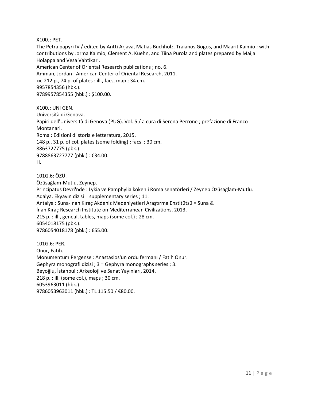X100J: PET.

The Petra papyri IV / edited by Antti Arjava, Matias Buchholz, Traianos Gogos, and Maarit Kaimio ; with contributions by Jorma Kaimio, Clement A. Kuehn, and Tiina Purola and plates prepared by Maija Holappa and Vesa Vahtikari. American Center of Oriental Research publications ; no. 6. Amman, Jordan : American Center of Oriental Research, 2011. xx, 212 p., 74 p. of plates : ill., facs, map ; 34 cm. 9957854356 (hbk.). 9789957854355 (hbk.) : \$100.00.

X100J: UNI GEN. Università di Genova. Papiri dell'Università di Genova (PUG). Vol. 5 / a cura di Serena Perrone ; prefazione di Franco Montanari. Roma : Edizioni di storia e letteratura, 2015. 148 p., 31 p. of col. plates (some folding) : facs. ; 30 cm. 8863727775 (pbk.). 9788863727777 (pbk.): €34.00. H.

101G.6: ÖZÜ. Özüsağlam-Mutlu, Zeynep. Principatus Devri'nde : Lykia ve Pamphylia kökenli Roma senatörleri / Zeynep Özüsağlam-Mutlu. Adalya. Ekyayın dizisi = supplementary series ; 11. Antalya : Suna-İnan Kıraç Akdeniz Medeniyetleri Araştırma Enstitütsü = Suna & İnan Kıraç Research Institute on Mediterranean Civilizations, 2013. 215 p. : ill., geneal. tables, maps (some col.) ; 28 cm. 6054018175 (pbk.). 9786054018178 (pbk.) : €55.00.

101G.6: PER. Onur, Fatih. Monumentum Pergense : Anastasios'un ordu fermanı / Fatih Onur. Gephyra monografi dizisi ; 3 = Gephyra monographs series ; 3. Beyoğlu, İstanbul : Arkeoloji ve Sanat Yayınları, 2014. 218 p. : ill. (some col.), maps ; 30 cm. 6053963011 (hbk.). 9786053963011 (hbk.) : TL 115.50 / €80.00.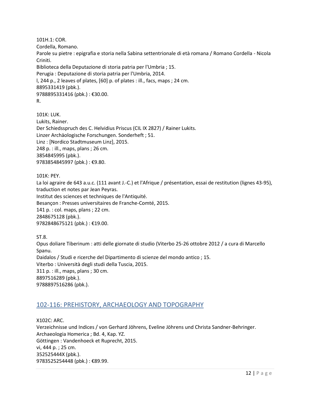101H.1: COR. Cordella, Romano. Parole su pietre : epigrafia e storia nella Sabina settentrionale di età romana / Romano Cordella - Nicola Criniti. Biblioteca della Deputazione di storia patria per l'Umbria ; 15. Perugia : Deputazione di storia patria per l'Umbria, 2014. l, 244 p., 2 leaves of plates, [60] p. of plates : ill., facs, maps ; 24 cm. 8895331419 (pbk.). 9788895331416 (pbk.) : €30.00. R.

101K: LUK. Lukits, Rainer. Der Schiedsspruch des C. Helvidius Priscus (CIL IX 2827) / Rainer Lukits. Linzer Archäologische Forschungen. Sonderheft ; 51. Linz : [Nordico Stadtmuseum Linz], 2015. 248 p. : ill., maps, plans ; 26 cm. 3854845995 (pbk.). 9783854845997 (pbk.): €9.80.

101K: PEY.

La loi agraire de 643 a.u.c. (111 avant J.-C.) et l'Afrique / présentation, essai de restitution (lignes 43-95), traduction et notes par Jean Peyras. Institut des sciences et techniques de l'Antiquité. Besançon : Presses universitaires de Franche-Comté, 2015. 141 p. : col. maps, plans ; 22 cm. 2848675128 (pbk.). 9782848675121 (pbk.) : €19.00.

ST.8. Opus doliare Tiberinum : atti delle giornate di studio (Viterbo 25-26 ottobre 2012 / a cura di Marcello Spanu. Daidalos / Studi e ricerche del Dipartimento di scienze del mondo antico ; 15. Viterbo : Università degli studi della Tuscia, 2015. 311 p. : ill., maps, plans ; 30 cm. 8897516289 (pbk.). 9788897516286 (pbk.).

## <span id="page-11-0"></span>102-116: PREHISTORY, ARCHAEOLOGY AND TOPOGRAPHY

X102C: ARC. Verzeichnisse und Indices / von Gerhard Jöhrens, Eveline Jöhrens und Christa Sandner-Behringer. Archaeologia Homerica ; Bd. 4, Kap. YZ. Göttingen : Vandenhoeck et Ruprecht, 2015. vi, 444 p. ; 25 cm. 352525444X (pbk.). 9783525254448 (pbk.) : €89.99.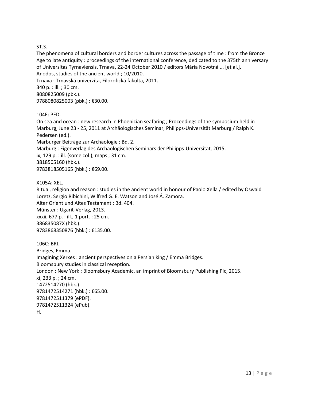#### ST.3.

The phenomena of cultural borders and border cultures across the passage of time : from the Bronze Age to late antiquity : proceedings of the international conference, dedicated to the 375th anniversary of Universitas Tyrnaviensis, Trnava, 22-24 October 2010 / editors Mária Novotná ... [et al.]. Anodos, studies of the ancient world ; 10/2010.

Trnava : Trnavská univerzita, Filozofická fakulta, 2011. 340 p. : ill. ; 30 cm. 8080825009 (pbk.). 9788080825003 (pbk.) : €30.00.

#### 104E: PED.

On sea and ocean : new research in Phoenician seafaring ; Proceedings of the symposium held in Marburg, June 23 - 25, 2011 at Archäologisches Seminar, Philipps-Universität Marburg / Ralph K. Pedersen (ed.). Marburger Beiträge zur Archäologie ; Bd. 2. Marburg : Eigenverlag des Archäologischen Seminars der Philipps-Universität, 2015. ix, 129 p. : ill. (some col.), maps ; 31 cm. 3818505160 (hbk.). 9783818505165 (hbk.) : €69.00.

X105A: XEL.

Ritual, religion and reason : studies in the ancient world in honour of Paolo Xella / edited by Oswald Loretz, Sergio Ribichini, Wilfred G. E. Watson and José Á. Zamora. Alter Orient und Altes Testament ; Bd. 404. Münster : Ugarit-Verlag, 2013. xxxii, 677 p. : ill., 1 port. ; 25 cm. 386835087X (hbk.). 9783868350876 (hbk.) : €135.00.

106C: BRI. Bridges, Emma. Imagining Xerxes : ancient perspectives on a Persian king / Emma Bridges. Bloomsbury studies in classical reception. London ; New York : Bloomsbury Academic, an imprint of Bloomsbury Publishing Plc, 2015. xi, 233 p. ; 24 cm. 1472514270 (hbk.). 9781472514271 (hbk.) : £65.00. 9781472511379 (ePDF). 9781472511324 (ePub). H.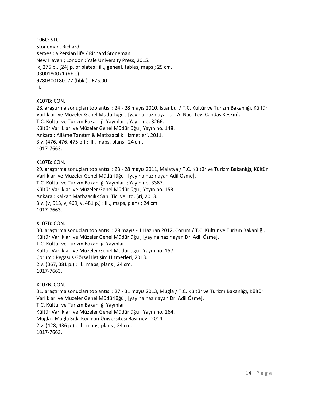106C: STO. Stoneman, Richard. Xerxes : a Persian life / Richard Stoneman. New Haven ; London : Yale University Press, 2015. ix, 275 p., [24] p. of plates : ill., geneal. tables, maps ; 25 cm. 0300180071 (hbk.). 9780300180077 (hbk.) : £25.00. H.

X107B: CON.

28. araştırma sonuçları toplantısı : 24 - 28 mayıs 2010, Istanbul / T.C. Kültür ve Turizm Bakanlığı, Kültür Varlıkları ve Müzeler Genel Müdürlüğü ; [yayına hazırlayanlar, A. Naci Toy, Candaş Keskin]. T.C. Kültür ve Turizm Bakanlığı Yayınları ; Yayın no. 3266. Kültür Varlıkları ve Müzeler Genel Müdürlüğü ; Yayın no. 148. Ankara : Allâme Tanıtım & Matbaacılık Hizmetleri, 2011. 3 v. (476, 476, 475 p.) : ill., maps, plans ; 24 cm. 1017-7663.

X107B: CON.

29. araştırma sonuçları toplantısı : 23 - 28 mayıs 2011, Malatya / T.C. Kültür ve Turizm Bakanlığı, Kültür Varlıkları ve Müzeler Genel Müdürlüğü ; [yayına hazırlayan Adil Özme].

T.C. Kültür ve Turizm Bakanlığı Yayınları ; Yayın no. 3387.

Kültür Varlıkları ve Müzeler Genel Müdürlüğü ; Yayın no. 153.

Ankara : Kalkan Matbaacılık San. Tic. ve Ltd. Şti, 2013.

3 v. (v, 513, v, 469, v, 481 p.) : ill., maps, plans ; 24 cm.

1017-7663.

X107B: CON.

30. araştırma sonuçları toplantısı : 28 mayıs - 1 Haziran 2012, Çorum / T.C. Kültür ve Turizm Bakanlığı, Kültür Varlıkları ve Müzeler Genel Müdürlüğü ; [yayına hazırlayan Dr. Adil Özme].

T.C. Kültür ve Turizm Bakanlığı Yayınları.

Kültür Varlıkları ve Müzeler Genel Müdürlüğü ; Yayın no. 157.

Çorum : Pegasus Görsel Iletişim Hizmetleri, 2013.

2 v. (367, 381 p.) : ill., maps, plans ; 24 cm.

1017-7663.

#### X107B: CON.

31. araştırma sonuçları toplantısı : 27 - 31 mayıs 2013, Muğla / T.C. Kültür ve Turizm Bakanlığı, Kültür Varlıkları ve Müzeler Genel Müdürlüğü ; [yayına hazırlayan Dr. Adil Özme]. T.C. Kültür ve Turizm Bakanlığı Yayınları. Kültür Varlıkları ve Müzeler Genel Müdürlüğü ; Yayın no. 164. Muğla : Muğla Sıtkı Koçman Üniversitesi Basımevi, 2014. 2 v. (428, 436 p.) : ill., maps, plans ; 24 cm. 1017-7663.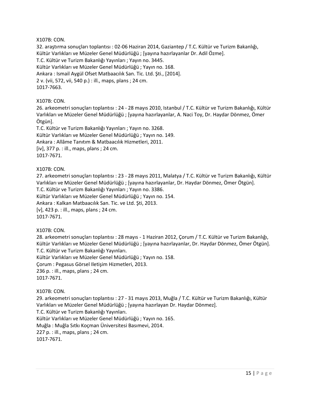32. araştırma sonuçları toplantısı : 02-06 Haziran 2014, Gaziantep / T.C. Kültür ve Turizm Bakanlığı, Kültür Varlıkları ve Müzeler Genel Müdürlüğü ; [yayına hazırlayanlar Dr. Adil Özme]. T.C. Kültür ve Turizm Bakanlığı Yayınları ; Yayın no. 3445. Kültür Varlıkları ve Müzeler Genel Müdürlüğü ; Yayın no. 168. Ankara : Ismail Aygül Ofset Matbaacılık San. Tic. Ltd. Şti., [2014]. 2 v. (vii, 572, vii, 540 p.) : ill., maps, plans ; 24 cm. 1017-7663.

#### X107B: CON.

26. arkeometri sonuçları toplantısı : 24 - 28 mayıs 2010, Istanbul / T.C. Kültür ve Turizm Bakanlığı, Kültür Varlıkları ve Müzeler Genel Müdürlüğü ; [yayına hazırlayanlar, A. Naci Toy, Dr. Haydar Dönmez, Ömer Ötgün].

T.C. Kültür ve Turizm Bakanlığı Yayınları ; Yayın no. 3268. Kültür Varlıkları ve Müzeler Genel Müdürlüğü ; Yayın no. 149. Ankara : Allâme Tanıtım & Matbaacılık Hizmetleri, 2011. [iv], 377 p. : ill., maps, plans ; 24 cm. 1017-7671.

#### X107B: CON.

27. arkeometri sonuçları toplantısı : 23 - 28 mayıs 2011, Malatya / T.C. Kültür ve Turizm Bakanlığı, Kültür Varlıkları ve Müzeler Genel Müdürlüğü ; [yayına hazırlayanlar, Dr. Haydar Dönmez, Ömer Ötgün].

T.C. Kültür ve Turizm Bakanlığı Yayınları ; Yayın no. 3386.

Kültür Varlıkları ve Müzeler Genel Müdürlüğü ; Yayın no. 154.

Ankara : Kalkan Matbaacılık San. Tic. ve Ltd. Şti, 2013.

[v], 423 p. : ill., maps, plans ; 24 cm.

1017-7671.

#### X107B: CON.

28. arkeometri sonuçları toplantısı : 28 mayıs - 1 Haziran 2012, Çorum / T.C. Kültür ve Turizm Bakanlığı, Kültür Varlıkları ve Müzeler Genel Müdürlüğü ; [yayına hazırlayanlar, Dr. Haydar Dönmez, Ömer Ötgün]. T.C. Kültür ve Turizm Bakanlığı Yayınları.

Kültür Varlıkları ve Müzeler Genel Müdürlüğü ; Yayın no. 158.

Çorum : Pegasus Görsel Iletişim Hizmetleri, 2013.

236 p. : ill., maps, plans ; 24 cm.

1017-7671.

#### X107B: CON.

29. arkeometri sonuçları toplantısı : 27 - 31 mayıs 2013, Muğla / T.C. Kültür ve Turizm Bakanlığı, Kültür Varlıkları ve Müzeler Genel Müdürlüğü ; [yayına hazırlayan Dr. Haydar Dönmez].

T.C. Kültür ve Turizm Bakanlığı Yayınları.

Kültür Varlıkları ve Müzeler Genel Müdürlüğü ; Yayın no. 165.

Muğla : Muğla Sıtkı Koçman Üniversitesi Basımevi, 2014.

227 p. : ill., maps, plans ; 24 cm.

1017-7671.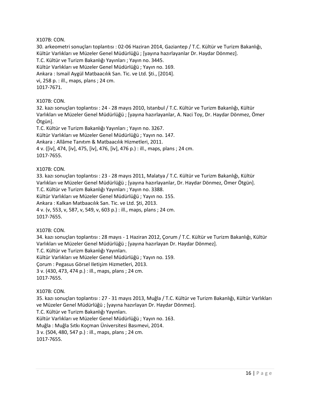30. arkeometri sonuçları toplantısı : 02-06 Haziran 2014, Gaziantep / T.C. Kültür ve Turizm Bakanlığı, Kültür Varlıkları ve Müzeler Genel Müdürlüğü ; [yayına hazırlayanlar Dr. Haydar Dönmez]. T.C. Kültür ve Turizm Bakanlığı Yayınları ; Yayın no. 3445. Kültür Varlıkları ve Müzeler Genel Müdürlüğü ; Yayın no. 169. Ankara : Ismail Aygül Matbaacılık San. Tic. ve Ltd. Şti., [2014]. vi, 258 p. : ill., maps, plans ; 24 cm. 1017-7671.

#### X107B: CON.

32. kazı sonuçları toplantısı : 24 - 28 mayıs 2010, Istanbul / T.C. Kültür ve Turizm Bakanlığı, Kültür Varlıkları ve Müzeler Genel Müdürlüğü ; [yayına hazırlayanlar, A. Naci Toy, Dr. Haydar Dönmez, Ömer Ötgün].

T.C. Kültür ve Turizm Bakanlığı Yayınları ; Yayın no. 3267. Kültür Varlıkları ve Müzeler Genel Müdürlüğü ; Yayın no. 147. Ankara : Allâme Tanıtım & Matbaacılık Hizmetleri, 2011. 4 v. ([iv], 474, [iv], 475, [iv], 476, [iv], 476 p.) : ill., maps, plans ; 24 cm. 1017-7655.

#### X107B: CON.

33. kazı sonuçları toplantısı : 23 - 28 mayıs 2011, Malatya / T.C. Kültür ve Turizm Bakanlığı, Kültür Varlıkları ve Müzeler Genel Müdürlüğü ; [yayına hazırlayanlar, Dr. Haydar Dönmez, Ömer Ötgün]. T.C. Kültür ve Turizm Bakanlığı Yayınları ; Yayın no. 3388.

Kültür Varlıkları ve Müzeler Genel Müdürlüğü ; Yayın no. 155.

Ankara : Kalkan Matbaacılık San. Tic. ve Ltd. Şti, 2013.

4 v. (v, 553, v, 587, v, 549, v, 603 p.) : ill., maps, plans ; 24 cm. 1017-7655.

#### X107B: CON.

34. kazı sonuçları toplantısı : 28 mayıs - 1 Haziran 2012, Çorum / T.C. Kültür ve Turizm Bakanlığı, Kültür Varlıkları ve Müzeler Genel Müdürlüğü ; [yayına hazırlayan Dr. Haydar Dönmez].

T.C. Kültür ve Turizm Bakanlığı Yayınları.

Kültür Varlıkları ve Müzeler Genel Müdürlüğü ; Yayın no. 159.

Çorum : Pegasus Görsel Iletişim Hizmetleri, 2013.

3 v. (430, 473, 474 p.) : ill., maps, plans ; 24 cm.

1017-7655.

#### X107B: CON.

35. kazı sonuçları toplantısı : 27 - 31 mayıs 2013, Muğla / T.C. Kültür ve Turizm Bakanlığı, Kültür Varlıkları ve Müzeler Genel Müdürlüğü ; [yayına hazırlayan Dr. Haydar Dönmez].

T.C. Kültür ve Turizm Bakanlığı Yayınları.

Kültür Varlıkları ve Müzeler Genel Müdürlüğü ; Yayın no. 163.

Muğla : Muğla Sıtkı Koçman Üniversitesi Basımevi, 2014.

3 v. (504, 480, 547 p.) : ill., maps, plans ; 24 cm.

1017-7655.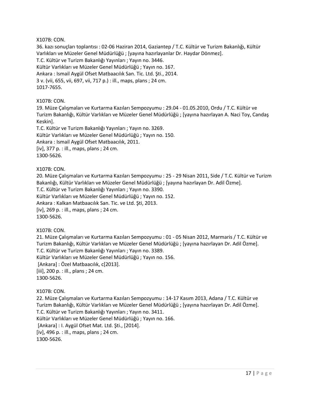36. kazı sonuçları toplantısı : 02-06 Haziran 2014, Gaziantep / T.C. Kültür ve Turizm Bakanlığı, Kültür Varlıkları ve Müzeler Genel Müdürlüğü ; [yayına hazırlayanlar Dr. Haydar Dönmez]. T.C. Kültür ve Turizm Bakanlığı Yayınları ; Yayın no. 3446. Kültür Varlıkları ve Müzeler Genel Müdürlüğü ; Yayın no. 167. Ankara : Ismail Aygül Ofset Matbaacılık San. Tic. Ltd. Şti., 2014. 3 v. (vii, 655, vii, 697, vii, 717 p.) : ill., maps, plans ; 24 cm. 1017-7655.

#### X107B: CON.

19. Müze Çalışmaları ve Kurtarma Kazıları Sempozyumu : 29.04 - 01.05.2010, Ordu / T.C. Kültür ve Turizm Bakanlığı, Kültür Varlıkları ve Müzeler Genel Müdürlüğü ; [yayına hazırlayan A. Naci Toy, Candaş Keskin].

T.C. Kültür ve Turizm Bakanlığı Yayınları ; Yayın no. 3269. Kültür Varlıkları ve Müzeler Genel Müdürlüğü ; Yayın no. 150. Ankara : Ismail Aygül Ofset Matbaacılık, 2011. [iv], 377 p. : ill., maps, plans ; 24 cm. 1300-5626.

#### X107B: CON.

20. Müze Çalışmaları ve Kurtarma Kazıları Sempozyumu : 25 - 29 Nisan 2011, Side / T.C. Kültür ve Turizm Bakanlığı, Kültür Varlıkları ve Müzeler Genel Müdürlüğü ; [yayına hazırlayan Dr. Adil Özme].

T.C. Kültür ve Turizm Bakanlığı Yayınları ; Yayın no. 3390.

Kültür Varlıkları ve Müzeler Genel Müdürlüğü ; Yayın no. 152.

Ankara : Kalkan Matbaacılık San. Tic. ve Ltd. Şti, 2013.

[iv], 269 p. : ill., maps, plans ; 24 cm.

1300-5626.

#### X107B: CON.

21. Müze Çalışmaları ve Kurtarma Kazıları Sempozyumu : 01 - 05 Nisan 2012, Marmaris / T.C. Kültür ve Turizm Bakanlığı, Kültür Varlıkları ve Müzeler Genel Müdürlüğü ; [yayına hazırlayan Dr. Adil Özme]. T.C. Kültür ve Turizm Bakanlığı Yayınları ; Yayın no. 3389.

Kültür Varlıkları ve Müzeler Genel Müdürlüğü ; Yayın no. 156.

[Ankara] : ÖzeI Matbaacılık, c[2013].

[iii], 200 p. : ill., plans ; 24 cm. 1300-5626.

#### X107B: CON.

22. Müze Çalışmaları ve Kurtarma Kazıları Sempozyumu : 14-17 Kasım 2013, Adana / T.C. Kültür ve Turizm Bakanlığı, Kültür Varlıkları ve Müzeler Genel Müdürlüğü ; [yayına hazırlayan Dr. Adil Özme]. T.C. Kültür ve Turizm Bakanlığı Yayınları ; Yayın no. 3411.

Kültür Varlıkları ve Müzeler Genel Müdürlüğü ; Yayın no. 166.

[Ankara] : I. Aygül Ofset Mat. Ltd. Şti., [2014].

[iv], 496 p. : ill., maps, plans ; 24 cm.

1300-5626.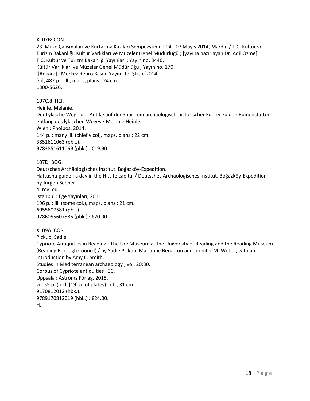23. Müze Çalışmaları ve Kurtarma Kazıları Sempozyumu : 04 - 07 Mayıs 2014, Mardin / T.C. Kültür ve Turizm Bakanlığı, Kültür Varlıkları ve Müzeler Genel Müdürlüğü ; [yayına hazırlayan Dr. Adil Özme]. T.C. Kültür ve Turizm Bakanlığı Yayınları ; Yayın no. 3446. Kültür Varlıkları ve Müzeler Genel Müdürlüğü ; Yayın no. 170. [Ankara] : Merkez Repro Basim Yayin Ltd. Şti., c[2014]. [vi], 482 p. : ill., maps, plans ; 24 cm. 1300-5626.

107C.8: HEI. Heinle, Melanie. Der Lykische Weg - der Antike auf der Spur : ein archäologisch-historischer Führer zu den Ruinenstätten entlang des lykischen Weges / Melanie Heinle. Wien : Phoibos, 2014. 144 p. : many ill. (chiefly col), maps, plans ; 22 cm. 3851611063 (pbk.). 9783851611069 (pbk.) : €19.90.

107D: BOG.

Deutsches Archäologisches Institut. Boğazköy-Expedition.

Hattusha-guide : a day in the Hittite capital / Deutsches Archäologisches Institut, Boğazköy-Expedition ; by Jürgen Seeher.

4. rev. ed. Istanbul : Ege Yayınları, 2011. 196 p. : ill. (some col.), maps, plans ; 21 cm. 6055607581 (pbk.). 9786055607586 (pbk.) : €20.00.

X109A: COR. Pickup, Sadie. Cypriote Antiquities in Reading : The Ure Museum at the University of Reading and the Reading Museum (Reading Borough Council) / by Sadie Pickup, Marianne Bergeron and Jennifer M. Webb ; with an introduction by Amy C. Smith. Studies in Mediterranean archaeology ; vol. 20:30. Corpus of Cypriote antiquities ; 30. Uppsala : Åströms Förlag, 2015. vii, 55 p. (incl. [19] p. of plates) : ill. ; 31 cm. 9170812012 (hbk.). 9789170812019 (hbk.) : €24.00.

H.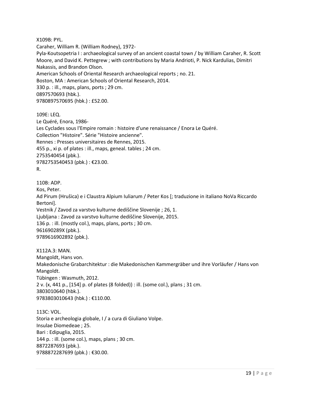X109B: PYL.

Caraher, William R. (William Rodney), 1972-

Pyla-Koutsopetria I : archaeological survey of an ancient coastal town / by William Caraher, R. Scott Moore, and David K. Pettegrew ; with contributions by Maria Andrioti, P. Nick Kardulias, Dimitri Nakassis, and Brandon Olson. American Schools of Oriental Research archaeological reports ; no. 21. Boston, MA : American Schools of Oriental Research, 2014. 330 p. : ill., maps, plans, ports ; 29 cm. 0897570693 (hbk.).

9780897570695 (hbk.) : £52.00.

109E: LEQ. Le Quéré, Enora, 1986- Les Cyclades sous l'Empire romain : histoire d'une renaissance / Enora Le Quéré. Collection "Histoire". Série "Histoire ancienne". Rennes : Presses universitaires de Rennes, 2015. 455 p., xi p. of plates : ill., maps, geneal. tables ; 24 cm. 2753540454 (pbk.). 9782753540453 (pbk.) : €23.00. R.

110B: ADP. Kos, Peter. Ad Pirum (Hrušica) e i Claustra Alpium Iuliarum / Peter Kos [; traduzione in italiano NoVa Riccardo Bertoni]. Vestnik / Zavod za varstvo kulturne dediščine Slovenije ; 26, 1. Ljubljana : Zavod za varstvo kulturne dediščine Slovenije, 2015. 136 p. : ill. (mostly col.), maps, plans, ports ; 30 cm. 961690289X (pbk.). 9789616902892 (pbk.).

X112A.3: MAN. Mangoldt, Hans von. Makedonische Grabarchitektur : die Makedonischen Kammergräber und ihre Vorläufer / Hans von Mangoldt. Tübingen : Wasmuth, 2012. 2 v. (x, 441 p., [154] p. of plates (8 folded)) : ill. (some col.), plans ; 31 cm. 3803010640 (hbk.). 9783803010643 (hbk.) : €110.00.

113C: VOL. Storia e archeologia globale, I / a cura di Giuliano Volpe. Insulae Diomedeae ; 25. Bari : Edipuglia, 2015. 144 p. : ill. (some col.), maps, plans ; 30 cm. 8872287693 (pbk.). 9788872287699 (pbk.) : €30.00.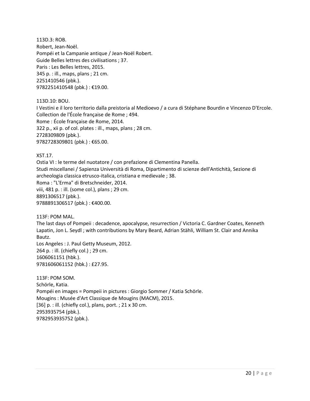113D.3: ROB. Robert, Jean-Noël. Pompéi et la Campanie antique / Jean-Noël Robert. Guide Belles lettres des civilisations ; 37. Paris : Les Belles lettres, 2015. 345 p. : ill., maps, plans ; 21 cm. 2251410546 (pbk.). 9782251410548 (pbk.) : €19.00.

113D.10: BOU.

I Vestini e il loro territorio dalla preistoria al Medioevo / a cura di Stéphane Bourdin e Vincenzo D'Ercole. Collection de l'École française de Rome ; 494. Rome : École française de Rome, 2014. 322 p., xii p. of col. plates : ill., maps, plans ; 28 cm. 2728309809 (pbk.). 9782728309801 (pbk.) : €65.00.

#### XST.17.

Ostia VI : le terme del nuotatore / con prefazione di Clementina Panella. Studi miscellanei / Sapienza Università di Roma, Dipartimento di scienze dell'Antichità, Sezione di archeologia classica etrusco-italica, cristiana e medievale ; 38. Roma : "L'Erma" di Bretschneider, 2014. viii, 481 p. : ill. (some col.), plans ; 29 cm. 8891306517 (pbk.). 9788891306517 (pbk.) : €400.00.

113F: POM MAL.

The last days of Pompeii : decadence, apocalypse, resurrection / Victoria C. Gardner Coates, Kenneth Lapatin, Jon L. Seydl ; with contributions by Mary Beard, Adrian Stähli, William St. Clair and Annika Bautz.

Los Angeles : J. Paul Getty Museum, 2012. 264 p. : ill. (chiefly col.) ; 29 cm. 1606061151 (hbk.). 9781606061152 (hbk.) : £27.95.

113F: POM SOM. Schörle, Katia. Pompéi en images = Pompeii in pictures : Giorgio Sommer / Katia Schörle. Mougins : Musée d'Art Classique de Mougins (MACM), 2015. [36] p. : ill. (chiefly col.), plans, port. ; 21 x 30 cm. 2953935754 (pbk.). 9782953935752 (pbk.).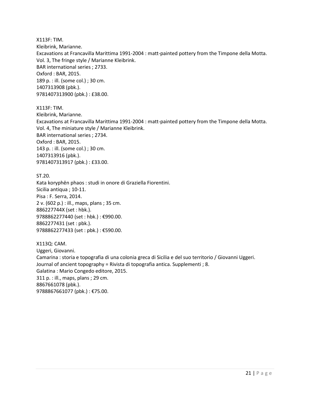X113F: TIM. Kleibrink, Marianne. Excavations at Francavilla Marittima 1991-2004 : matt-painted pottery from the Timpone della Motta. Vol. 3, The fringe style / Marianne Kleibrink. BAR international series ; 2733. Oxford : BAR, 2015. 189 p. : ill. (some col.) ; 30 cm. 1407313908 (pbk.). 9781407313900 (pbk.) : £38.00.

X113F: TIM.

Kleibrink, Marianne. Excavations at Francavilla Marittima 1991-2004 : matt-painted pottery from the Timpone della Motta. Vol. 4, The miniature style / Marianne Kleibrink. BAR international series ; 2734. Oxford : BAR, 2015. 143 p. : ill. (some col.) ; 30 cm. 1407313916 (pbk.). 9781407313917 (pbk.) : £33.00.

ST.20. Kata koryphēn phaos : studi in onore di Graziella Fiorentini. Sicilia antiqua ; 10-11. Pisa : F. Serra, 2014. 2 v. (602 p.) : ill., maps, plans ; 35 cm. 886227744X (set : hbk.). 9788862277440 (set : hbk.) : €990.00. 8862277431 (set : pbk.). 9788862277433 (set : pbk.) : €590.00.

X113Q: CAM. Uggeri, Giovanni. Camarina : storia e topografia di una colonia greca di Sicilia e del suo territorio / Giovanni Uggeri. Journal of ancient topography = Rivista di topografia antica. Supplementi ; 8. Galatina : Mario Congedo editore, 2015. 311 p. : ill., maps, plans ; 29 cm. 8867661078 (pbk.). 9788867661077 (pbk.) : €75.00.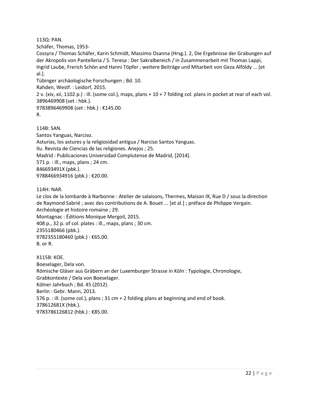113Q: PAN.

Schäfer, Thomas, 1953-

Cossyra / Thomas Schäfer, Karin Schmidt, Massimo Osanna (Hrsg.). 2, Die Ergebnisse der Grabungen auf der Akropolis von Pantelleria / S. Teresa : Der Sakralbereich / in Zusammenarbeit mit Thomas Lappi, Ingrid Laube, Frerich Schön and Hanni Töpfer ; weitere Beiträge und Mitarbeit von Geza Alföldy ... [et al.].

Tübinger archäologische Forschungen ; Bd. 10.

Rahden, Westf. : Leidorf, 2015.

2 v. (xiv, xii, 1102 p.) : ill. (some col.), maps, plans + 10 + 7 folding col. plans in pocket at rear of each vol. 3896469908 (set : hbk.).

9783896469908 (set : hbk.) : €145.00.

R.

114B: SAN. Santos Yanguas, Narciso. Asturias, los astures y la religiosidad antigua / Narciso Santos Yanguas.

Ilu. Revista de Ciencias de las religiones. Anejos ; 25.

Madrid : Publicaciones Universidad Complutense de Madrid, [2014].

571 p. : ill., maps, plans ; 24 cm.

846693491X (pbk.).

9788466934916 (pbk.) : €20.00.

114H: NAR.

Le clos de la lombarde à Narbonne : Atelier de salaisons, Thermes, Maison IX, Rue D / sous la direction de Raymond Sabrié ; avec des contributions de A. Bouet ... [et al.] ; préface de Philippe Vergain. Archéologie et histoire romaine ; 29.

Montagnac : Éditions Monique Mergoil, 2015. 408 p., 32 p. of col. plates : ill., maps, plans ; 30 cm. 2355180466 (pbk.). 9782355180460 (pbk.): €65.00. B. or R.

X115B: KOE. Boeselager, Dela von. Römische Gläser aus Gräbern an der Luxemburger Strasse in Köln : Typologie, Chronologie, Grabkontexte / Dela von Boeselager. Kölner Jahrbuch ; Bd. 45 (2012). Berlin : Gebr. Mann, 2013. 576 p. : ill. (some col.), plans ; 31 cm + 2 folding plans at beginning and end of book. 378612681X (hbk.). 9783786126812 (hbk.) : €85.00.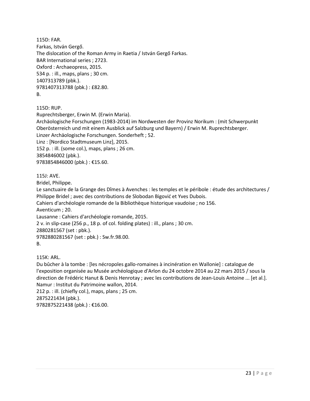115D: FAR. Farkas, István Gergő. The dislocation of the Roman Army in Raetia / István Gergő Farkas. BAR International series ; 2723. Oxford : Archaeopress, 2015. 534 p. : ill., maps, plans ; 30 cm. 1407313789 (pbk.). 9781407313788 (pbk.) : £82.80. B.

115D: RUP.

Ruprechtsberger, Erwin M. (Erwin Maria). Archäologische Forschungen (1983-2014) im Nordwesten der Provinz Norikum : (mit Schwerpunkt Oberösterreich und mit einem Ausblick auf Salzburg und Bayern) / Erwin M. Ruprechtsberger. Linzer Archäologische Forschungen. Sonderheft ; 52. Linz : [Nordico Stadtmuseum Linz], 2015. 152 p. : ill. (some col.), maps, plans ; 26 cm. 3854846002 (pbk.). 9783854846000 (pbk.): €15.60.

115J: AVE.

Bridel, Philippe.

Le sanctuaire de la Grange des Dîmes à Avenches : les temples et le péribole : étude des architectures / Philippe Bridel ; avec des contributions de Slobodan Bigović et Yves Dubois.

Cahiers d'archéologie romande de la Bibliothèque historique vaudoise ; no 156. Aventicum ; 20.

Lausanne : Cahiers d'archéologie romande, 2015.

2 v. in slip-case (256 p., 18 p. of col. folding plates) : ill., plans ; 30 cm.

2880281567 (set : pbk.).

9782880281567 (set : pbk.) : Sw.fr.98.00.

B.

115K: ARL.

Du bûcher à la tombe : [les nécropoles gallo-romaines à incinération en Wallonie] : catalogue de l'exposition organisée au Musée archéologique d'Arlon du 24 octobre 2014 au 22 mars 2015 / sous la direction de Frédéric Hanut & Denis Henrotay ; avec les contributions de Jean-Louis Antoine ... [et al.]. Namur : Institut du Patrimoine wallon, 2014.

212 p. : ill. (chiefly col.), maps, plans ; 25 cm. 2875221434 (pbk.). 9782875221438 (pbk.) : €16.00.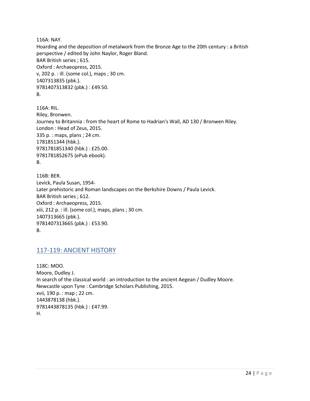116A: NAY.

Hoarding and the deposition of metalwork from the Bronze Age to the 20th century : a British perspective / edited by John Naylor, Roger Bland. BAR British series ; 615. Oxford : Archaeopress, 2015. v, 202 p. : ill. (some col.), maps ; 30 cm. 1407313835 (pbk.). 9781407313832 (pbk.) : £49.50. B.

116A: RIL. Riley, Bronwen. Journey to Britannia : from the heart of Rome to Hadrian's Wall, AD 130 / Bronwen Riley. London : Head of Zeus, 2015. 335 p. : maps, plans ; 24 cm. 1781851344 (hbk.). 9781781851340 (hbk.) : £25.00. 9781781852675 (ePub ebook). B.

116B: BER. Levick, Paula Susan, 1954- Later prehistoric and Roman landscapes on the Berkshire Downs / Paula Levick. BAR British series ; 612. Oxford : Archaeopress, 2015. xiii, 212 p. : ill. (some col.), maps, plans ; 30 cm. 1407313665 (pbk.). 9781407313665 (pbk.) : £53.90. B.

## <span id="page-23-0"></span>117-119: ANCIENT HISTORY

118C: MOO. Moore, Dudley J. In search of the classical world : an introduction to the ancient Aegean / Dudley Moore. Newcastle upon Tyne : Cambridge Scholars Publishing, 2015. xvii, 190 p. : map ; 22 cm. 1443878138 (hbk.). 9781443878135 (hbk.) : £47.99. H.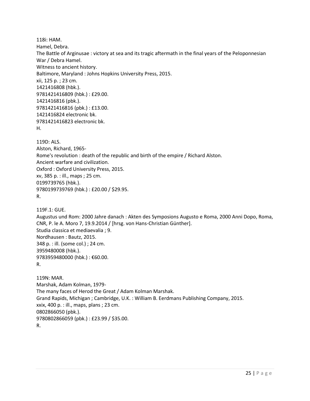118i: HAM. Hamel, Debra. The Battle of Arginusae : victory at sea and its tragic aftermath in the final years of the Peloponnesian War / Debra Hamel. Witness to ancient history. Baltimore, Maryland : Johns Hopkins University Press, 2015. xii, 125 p. ; 23 cm. 1421416808 (hbk.). 9781421416809 (hbk.) : £29.00. 1421416816 (pbk.). 9781421416816 (pbk.) : £13.00. 1421416824 electronic bk. 9781421416823 electronic bk. H.

119D: ALS. Alston, Richard, 1965- Rome's revolution : death of the republic and birth of the empire / Richard Alston. Ancient warfare and civilization. Oxford : Oxford University Press, 2015. xv, 385 p. : ill., maps ; 25 cm. 0199739765 (hbk.). 9780199739769 (hbk.) : £20.00 / \$29.95. R.

119F.1: GUE.

Augustus und Rom: 2000 Jahre danach : Akten des Symposions Augusto e Roma, 2000 Anni Dopo, Roma, CNR, P. le A. Moro 7, 19.9.2014 / [hrsg. von Hans-Christian Günther]. Studia classica et mediaevalia ; 9. Nordhausen : Bautz, 2015. 348 p. : ill. (some col.) ; 24 cm. 3959480008 (hbk.). 9783959480000 (hbk.) : €60.00. R.

119N: MAR. Marshak, Adam Kolman, 1979- The many faces of Herod the Great / Adam Kolman Marshak. Grand Rapids, Michigan ; Cambridge, U.K. : William B. Eerdmans Publishing Company, 2015. xxix, 400 p. : ill., maps, plans ; 23 cm. 0802866050 (pbk.). 9780802866059 (pbk.) : £23.99 / \$35.00. R.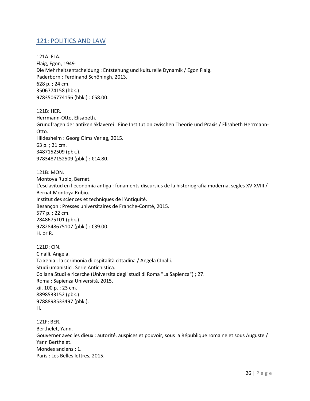## <span id="page-25-0"></span>121: POLITICS AND LAW

121A: FLA. Flaig, Egon, 1949- Die Mehrheitsentscheidung : Entstehung und kulturelle Dynamik / Egon Flaig. Paderborn : Ferdinand Schöningh, 2013. 628 p. ; 24 cm. 3506774158 (hbk.). 9783506774156 (hbk.) : €58.00.

121B: HER. Herrmann-Otto, Elisabeth. Grundfragen der antiken Sklaverei : Eine Institution zwischen Theorie und Praxis / Elisabeth Herrmann-Otto. Hildesheim : Georg Olms Verlag, 2015. 63 p. ; 21 cm. 3487152509 (pbk.). 9783487152509 (pbk.): €14.80.

121B: MON. Montoya Rubio, Bernat. L'esclavitud en l'economia antiga : fonaments discursius de la historiografia moderna, segles XV-XVIII / Bernat Montoya Rubio. Institut des sciences et techniques de l'Antiquité. Besançon : Presses universitaires de Franche-Comté, 2015. 577 p. ; 22 cm. 2848675101 (pbk.). 9782848675107 (pbk.) : €39.00. H. or R.

121D: CIN. Cinalli, Angela. Ta xenia : la cerimonia di ospitalità cittadina / Angela CInalli. Studi umanistici. Serie Antichistica. Collana Studi e ricerche (Università degli studi di Roma "La Sapienza") ; 27. Roma : Sapienza Università, 2015. xii, 100 p. ; 23 cm. 8898533152 (pbk.). 9788898533497 (pbk.). H.

121F: BER. Berthelet, Yann. Gouverner avec les dieux : autorité, auspices et pouvoir, sous la République romaine et sous Auguste / Yann Berthelet. Mondes anciens ; 1. Paris : Les Belles lettres, 2015.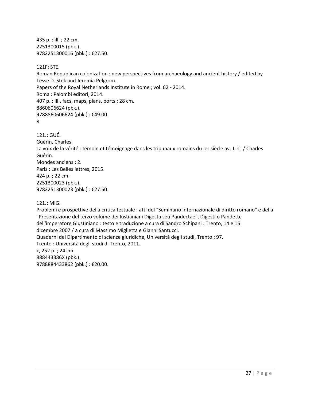435 p. : ill. ; 22 cm. 2251300015 (pbk.). 9782251300016 (pbk.) : €27.50.

121F: STE.

Roman Republican colonization : new perspectives from archaeology and ancient history / edited by Tesse D. Stek and Jeremia Pelgrom. Papers of the Royal Netherlands Institute in Rome ; vol. 62 - 2014. Roma : Palombi editori, 2014. 407 p. : ill., facs, maps, plans, ports ; 28 cm. 8860606624 (pbk.). 9788860606624 (pbk.) : €49.00. R.

121J: GUÉ. Guérin, Charles. La voix de la vérité : témoin et témoignage dans les tribunaux romains du Ier siècle av. J.-C. / Charles Guérin. Mondes anciens ; 2. Paris : Les Belles lettres, 2015. 424 p. ; 22 cm. 2251300023 (pbk.). 9782251300023 (pbk.) : €27.50.

121J: MIG.

Problemi e prospettive della critica testuale : atti del "Seminario internazionale di diritto romano" e della "Presentazione del terzo volume dei Iustianiani Digesta seu Pandectae", Digesti o Pandette dell'imperatore Giustiniano : testo e traduzione a cura di Sandro Schipani : Trento, 14 e 15 dicembre 2007 / a cura di Massimo Miglietta e Gianni Santucci. Quaderni del Dipartimento di scienze giuridiche, Università degli studi, Trento ; 97. Trento : Università degli studi di Trento, 2011. x, 252 p. ; 24 cm. 888443386X (pbk.). 9788884433862 (pbk.) : €20.00.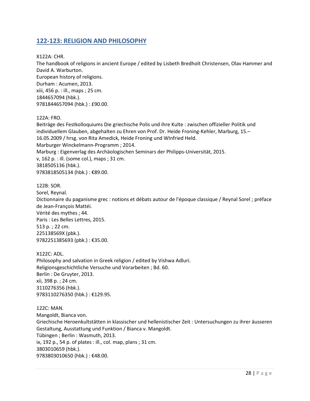## <span id="page-27-0"></span>**122-123: RELIGION AND PHILOSOPHY**

X122A: CHR.

The handbook of religions in ancient Europe / edited by Lisbeth Bredholt Christensen, Olav Hammer and David A. Warburton. European history of religions. Durham : Acumen, 2013. xiii, 456 p. : ill., maps ; 25 cm. 1844657094 (hbk.). 9781844657094 (hbk.) : £90.00.

#### 122A: FRO.

Beiträge des Festkolloquiums Die griechische Polis und ihre Kulte : zwischen offizieller Politik und individuellem Glauben, abgehalten zu Ehren von Prof. Dr. Heide Froning-Kehler, Marburg, 15.– 16.05.2009 / hrsg. von Rita Amedick, Heide Froning und WInfried Held. Marburger Winckelmann-Programm ; 2014. Marburg : Eigenverlag des Archäologischen Seminars der Philipps-Universität, 2015. v, 162 p. : ill. (some col.), maps ; 31 cm. 3818505136 (hbk.). 9783818505134 (hbk.) : €89.00.

122B: SOR.

Sorel, Reynal. Dictionnaire du paganisme grec : notions et débats autour de l'époque classique / Reynal Sorel ; préface de Jean-François Mattéi. Vérité des mythes ; 44. Paris : Les Belles Lettres, 2015. 513 p. ; 22 cm. 225138569X (pbk.). 9782251385693 (pbk.) : €35.00.

X122C: ADL. Philosophy and salvation in Greek religion / edited by Vishwa Adluri. Religionsgeschichtliche Versuche und Vorarbeiten ; Bd. 60. Berlin : De Gruyter, 2013. xii, 398 p. ; 24 cm. 3110276356 (hbk.). 9783110276350 (hbk.) : €129.95.

122C: MAN. Mangoldt, Bianca von. Griechische Heroenkultstätten in klassischer und hellenistischer Zeit : Untersuchungen zu ihrer äusseren Gestaltung, Ausstattung und Funktion / Bianca v. Mangoldt. Tübingen ; Berlin : Wasmuth, 2013. ix, 192 p., 54 p. of plates : ill., col. map, plans ; 31 cm. 3803010659 (hbk.). 9783803010650 (hbk.) : €48.00.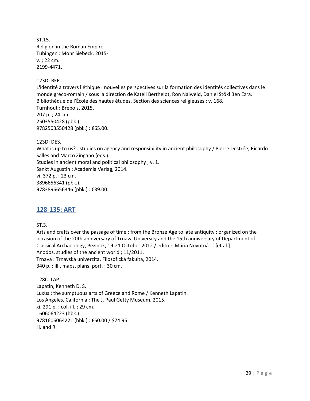ST.15. Religion in the Roman Empire. Tübingen : Mohr Siebeck, 2015 v. ; 22 cm. 2199-4471.

123D: BER.

L'identité à travers l'éthique : nouvelles perspectives sur la formation des identités collectives dans le monde gréco-romain / sous la direction de Katell Berthelot, Ron Naiweld, Daniel Stökl Ben Ezra. Bibliothèque de l'École des hautes études. Section des sciences religieuses ; v. 168. Turnhout : Brepols, 2015. 207 p. ; 24 cm. 2503550428 (pbk.). 9782503550428 (pbk.) : €65.00.

123D: DES.

What is up to us? : studies on agency and responsibility in ancient philosophy / Pierre Destrée, Ricardo Salles and Marco Zingano (eds.). Studies in ancient moral and political philosophy ; v. 1.

Sankt Augustin : Academia Verlag, 2014.

vi, 372 p. ; 23 cm. 3896656341 (pbk.). 9783896656346 (pbk.) : €39.00.

## <span id="page-28-0"></span>**128-135: ART**

ST.3.

Arts and crafts over the passage of time : from the Bronze Age to late antiquity : organized on the occasion of the 20th anniversary of Trnava University and the 15th anniversary of Department of Classical Archaeology, Pezinok, 19-21 October 2012 / editors Mária Novotná ... [et al.]. Anodos, studies of the ancient world ; 11/2011. Trnava : Trnavská univerzita, Filozofická fakulta, 2014. 340 p. : ill., maps, plans, port. ; 30 cm.

128C: LAP. Lapatin, Kenneth D. S. Luxus : the sumptuous arts of Greece and Rome / Kenneth Lapatin. Los Angeles, California : The J. Paul Getty Museum, 2015. xi, 291 p. : col. ill. ; 29 cm. 1606064223 (hbk.). 9781606064221 (hbk.) : £50.00 / \$74.95. H. and R.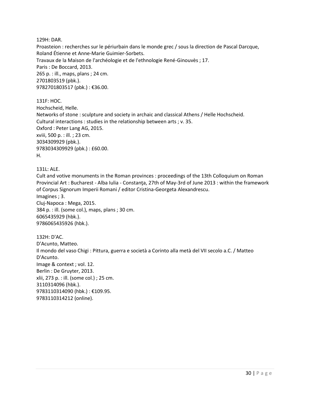129H: DAR.

Proasteion : recherches sur le périurbain dans le monde grec / sous la direction de Pascal Darcque, Roland Étienne et Anne-Marie Guimier-Sorbets. Travaux de la Maison de l'archéologie et de l'ethnologie René-Ginouvès ; 17. Paris : De Boccard, 2013. 265 p. : ill., maps, plans ; 24 cm. 2701803519 (pbk.). 9782701803517 (pbk.) : €36.00.

131F: HOC. Hochscheid, Helle. Networks of stone : sculpture and society in archaic and classical Athens / Helle Hochscheid. Cultural interactions : studies in the relationship between arts ; v. 35. Oxford : Peter Lang AG, 2015. xviii, 500 p. : ill. ; 23 cm. 3034309929 (pbk.). 9783034309929 (pbk.) : £60.00. H.

131L: ALE.

Cult and votive monuments in the Roman provinces : proceedings of the 13th Colloquium on Roman Provincial Art : Bucharest - Alba Iulia - Constanţa, 27th of May-3rd of June 2013 : within the framework of Corpus Signorum Imperii Romani / editor Cristina-Georgeta Alexandrescu. Imagines ; 3. Cluj-Napoca : Mega, 2015. 384 p. : ill. (some col.), maps, plans ; 30 cm. 6065435929 (hbk.). 9786065435926 (hbk.).

132H: D'AC. D'Acunto, Matteo. Il mondo del vaso Chigi : Pittura, guerra e società a Corinto alla metà del VII secolo a.C. / Matteo D'Acunto. Image & context ; vol. 12. Berlin : De Gruyter, 2013. xlii, 273 p. : ill. (some col.) ; 25 cm. 3110314096 (hbk.). 9783110314090 (hbk.) : €109.95. 9783110314212 (online).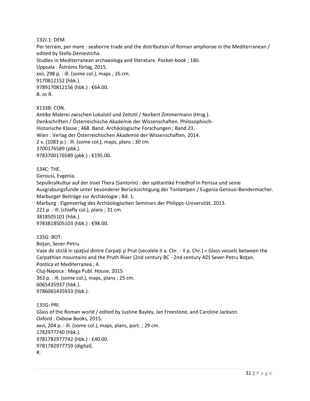132J.1: DEM.

Per terram, per mare : seaborne trade and the distribution of Roman amphorae in the Mediterranean / edited by Stella Demesticha. Studies in Mediterranean archaeology and literature. Pocket-book ; 180. Uppsala : Åströms förlag, 2015. xxii, 298 p. : ill. (some col.), maps ; 26 cm. 9170812152 (hbk.). 9789170812156 (hbk.) : €64.00. B. or R.

X133B: CON.

Antike Malerei zwischen Lokalstil und Zeitstil / Norbert Zimmermann (Hrsg.). Denkschriften / Österreichische Akademie der Wissenschaften. Philosophisch-Historische Klasse ; 468. Band. Archäologische Forschungen ; Band 23. Wien : Verlag der Österreichischen Akademie der Wissenschaften, 2014. 2 v. (1083 p.) : ill. (some col.), maps, plans ; 30 cm. 3700176589 (pbk.). 9783700176589 (pbk.) : €195.00.

134C: THE.

Gerousi, Evgenia.

Sepulkralkultur auf der Insel Thera (Santorin) : der spätantike Friedhof in Perissa und seine Ausgrabungsfunde unter besonderer Berücksichtigung der Tonlampen / Eugenia Gerousi-Bendermacher. Marburger Beiträge zur Archäologie ; Bd. 1.

Marburg : Eigenverlag des Archäologischen Seminars der Philipps-Universität, 2013.

221 p. : ill. (chiefly col.), plans ; 31 cm.

3818505101 (hbk.).

9783818505103 (hbk.) : €98.00.

135G: BOT.

Boţan, Sever-Petru.

Vase de sticlă in spațiul dintre Carpați și Prut (secolele II a. Chr. - II p. Chr.) = Glass vessels between the Carpathian mountains and the Pruth River (2nd century BC - 2nd century AD) Sever-Petru Boţan. Pontica et Mediterranea ; 4. Cluj-Napoca : Mega Publ. House, 2015.

363 p. : ill. (some col.), maps, plans ; 25 cm. 6065435937 (hbk.). 9786065435933 (hbk.).

135G: PRI. Glass of the Roman world / edited by Justine Bayley, Ian Freestone, and Caroline Jackson. Oxford : Oxbow Books, 2015. xxvi, 204 p. : ill. (some col.), maps, plans, port. ; 29 cm. 1782977740 (hbk.). 9781782977742 (hbk.) : £40.00. 9781782977759 (digital). R.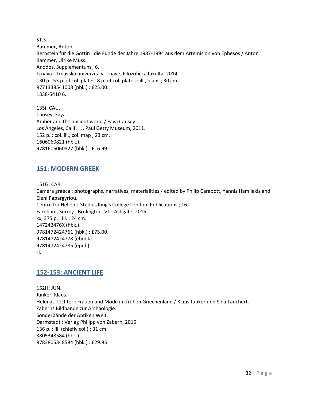ST.3. Bammer, Anton. Bernstein fur die Gottin : die Funde der Jahre 1987-1994 aus dem Artemision von Ephesos / Anton Bammer, Ulrike Muss. Anodos. Supplementum ; 6. Trnava : Trnavská univerzita v Trnave, Filozofická fakulta, 2014. 130 p., 53 p. of col. plates, 8 p. of col. plates : ill., plans ; 30 cm. 9771338541008 (pbk.) : €25.00. 1338-5410 6.

135i: CAU. Causey, Faya. Amber and the ancient world / Faya Causey. Los Angeles, Calif. : J. Paul Getty Museum, 2011. 152 p. : col. ill., col. map ; 23 cm. 1606060821 (hbk.). 9781606060827 (hbk.) : £16.99.

## <span id="page-31-0"></span>**151: MODERN GREEK**

151G: CAR.

Camera graeca : photographs, narratives, materialities / edited by Philip Carabott, Yannis Hamilakis and Eleni Papargyriou. Centre for Hellenic Studies King's College London. Publications ; 16. Farnham, Surrey ; Brulington, VT : Ashgate, 2015. xx, 375 p. : ill. ; 24 cm. 147242476X (hbk.). 9781472424761 (hbk.) : £75.00. 9781472424778 (ebook). 9781472424785 (epub). H.

## <span id="page-31-1"></span>**152-153: ANCIENT LIFE**

152H: JUN. Junker, Klaus. Helenas Töchter : Frauen und Mode im frühen Griechenland / Klaus Junker und Sina Tauchert. Zaberns Bildbände zur Archäologie. Sonderbände der Antiken Welt. Darmstadt : Verlag Philipp von Zabern, 2015. 136 p. : ill. (chiefly col.) ; 31 cm. 3805348584 (hbk.). 9783805348584 (hbk.) : €29.95.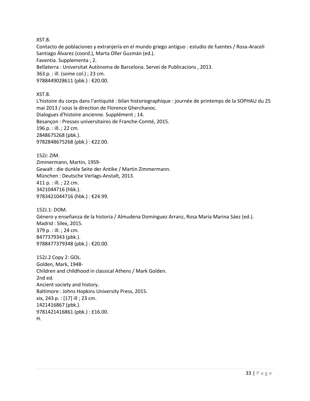XST.8.

Contacto de poblaciones y extranjería en el mundo griego antiguo : estudio de fuentes / Rosa-Araceli Santiago Álvarez (coord.), Marta Oller Guzmán (ed.). Faventia. Supplementa ; 2. Bellaterra : Universitat Autònoma de Barcelona. Servei de Publicacions , 2013. 363 p. : ill. (some col.) ; 23 cm. 9788449028611 (pbk.) : €20.00.

#### XST.8.

L'histoire du corps dans l'antiquité : bilan historiographique : journée de printemps de la SOPHAU du 25 mai 2013 / sous la direction de Florence Gherchanoc. Dialogues d'histoire ancienne. Supplément ; 14.

Besançon : Presses universitaires de Franche-Comté, 2015. 196 p. : ill. ; 22 cm.

2848675268 (pbk.). 9782848675268 (pbk.) : €22.00.

152J: ZIM. Zimmermann, Martin, 1959- Gewalt : die dunkle Seite der Antike / Martin Zimmermann. München : Deutsche Verlags-Anstalt, 2013. 411 p. : ill. ; 22 cm. 3421044716 (hbk.). 9783421044716 (hbk.) : €24.99.

152J.1: DOM. Género y enseñanza de la historia / Almudena Domínguez Arranz, Rosa María Marina Sáez (ed.). Madrid : Sílex, 2015. 379 p. : ill. ; 24 cm. 8477379343 (pbk.). 9788477379348 (pbk.) : €20.00.

152J.2 Copy 2: GOL. Golden, Mark, 1948- Children and childhood in classical Athens / Mark Golden. 2nd ed. Ancient society and history. Baltimore : Johns Hopkins University Press, 2015. xix, 243 p. : [17] ill ; 23 cm. 1421416867 (pbk.). 9781421416861 (pbk.) : £16.00. H.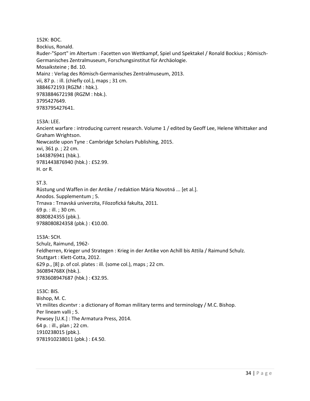152K: BOC.

Bockius, Ronald.

Ruder-"Sport" im Altertum : Facetten von Wettkampf, Spiel und Spektakel / Ronald Bockius ; Römisch-Germanisches Zentralmuseum, Forschungsinstitut für Archäologie. Mosaiksteine ; Bd. 10. Mainz : Verlag des Römisch-Germanisches Zentralmuseum, 2013. vii, 87 p. : ill. (chiefly col.), maps ; 31 cm. 3884672193 (RGZM : hbk.). 9783884672198 (RGZM : hbk.). 3795427649. 9783795427641.

#### 153A: LEE.

Ancient warfare : introducing current research. Volume 1 / edited by Geoff Lee, Helene Whittaker and Graham Wrightson. Newcastle upon Tyne : Cambridge Scholars Publishing, 2015. xvi, 361 p. ; 22 cm. 1443876941 (hbk.). 9781443876940 (hbk.) : £52.99. H. or R.

#### ST.3.

Rüstung und Waffen in der Antike / redaktion Mária Novotná ... [et al.]. Anodos. Supplementum ; 5. Trnava : Trnavská univerzita, Filozofická fakulta, 2011. 69 p. : ill. ; 30 cm. 8080824355 (pbk.). 9788080824358 (pbk.) : €10.00.

153A: SCH. Schulz, Raimund, 1962- Feldherren, Krieger und Strategen : Krieg in der Antike von Achill bis Attila / Raimund Schulz. Stuttgart : Klett-Cotta, 2012. 629 p., [8] p. of col. plates : ill. (some col.), maps ; 22 cm. 360894768X (hbk.). 9783608947687 (hbk.) : €32.95.

153C: BIS. Bishop, M. C. Vt milites dicvntvr : a dictionary of Roman military terms and terminology / M.C. Bishop. Per lineam valli ; 5. Pewsey [U.K.] : The Armatura Press, 2014. 64 p. : ill., plan ; 22 cm. 1910238015 (pbk.). 9781910238011 (pbk.) : £4.50.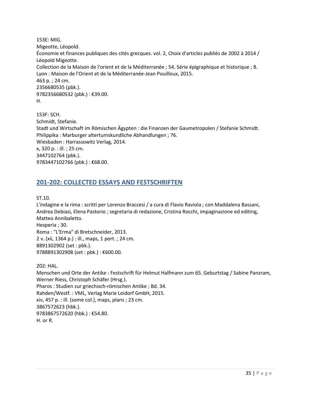153E: MIG. Migeotte, Léopold. Économie et finances publiques des cités grecques. vol. 2, Choix d'articles publiés de 2002 à 2014 / Léopold Migeotte. Collection de la Maison de l'orient et de la Méditerranée ; 54. Série épigraphique et historique ; 8. Lyon : Maison de l'Orient et de la Méditerranée-Jean Pouilloux, 2015. 463 p. ; 24 cm. 2356680535 (pbk.). 9782356680532 (pbk.) : €39.00. H.

153F: SCH. Schmidt, Stefanie. Stadt und Wirtschaft im Römischen Ägypten : die Finanzen der Gaumetropolen / Stefanie Schmidt. Philippika : Marburger altertumskundliche Abhandlungen ; 76. Wiesbaden : Harrassowitz Verlag, 2014. x, 320 p. : ill. ; 25 cm. 3447102764 (pbk.). 9783447102766 (pbk.): €68.00.

## <span id="page-34-0"></span>**201-202: COLLECTED ESSAYS AND FESTSCHRIFTEN**

ST.10.

L'indagine e la rima : scritti per Lorenzo Braccesi / a cura di Flavio Raviola ; con Maddalena Bassani, Andrea Debiasi, Elena Pastorio ; segretaria di redazione, Cristina Rocchi, impaginazione ed editing, Matteo Annibaletto. Hesperìa ; 30. Roma : "L'Erma" di Bretschneider, 2013. 2 v. (xii, 1364 p.) : ill., maps, 1 port. ; 24 cm. 8891302902 (set : pbk.). 9788891302908 (set : pbk.) : €600.00. 202: HAL.

Menschen und Orte der Antike : Festschrift für Helmut Halfmann zum 65. Geburtstag / Sabine Panzram, Werner Riess, Christoph Schäfer (Hrsg.). Pharos : Studien zur griechisch-römischen Antike ; Bd. 34. Rahden/Westf. : VML, Verlag Marie Leidorf GmbH, 2015. xiv, 457 p. : ill. (some col.), maps, plans ; 23 cm. 3867572623 (hbk.). 9783867572620 (hbk.) : €54.80. H. or R.